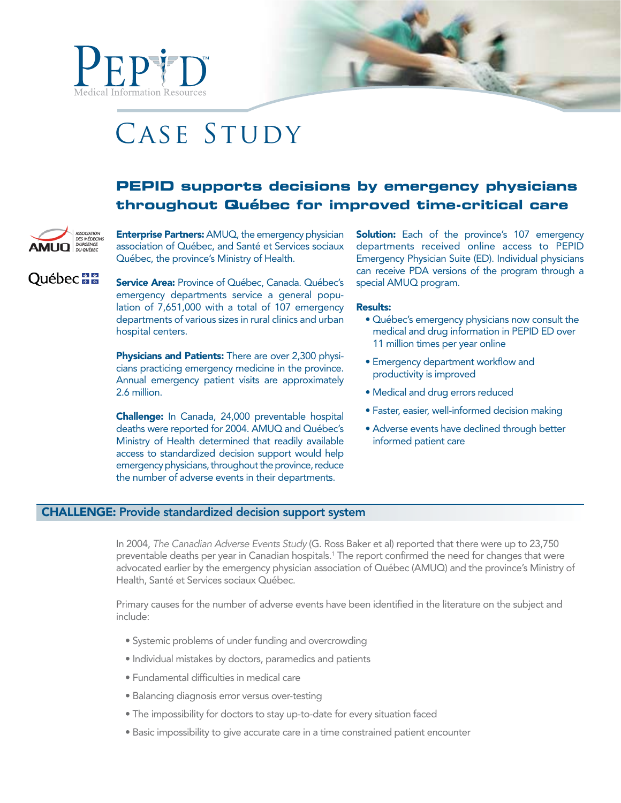



# **PEPID supports decisions by emergency physicians throughout Québec for improved time-critical care**



**Québec** 

**Enterprise Partners:** AMUQ, the emergency physician association of Québec, and Santé et Services sociaux Québec, the province's Ministry of Health.

Service Area: Province of Québec, Canada. Québec's emergency departments service a general population of 7,651,000 with a total of 107 emergency departments of various sizes in rural clinics and urban hospital centers.

Physicians and Patients: There are over 2,300 physicians practicing emergency medicine in the province. Annual emergency patient visits are approximately 2.6 million.

Challenge: In Canada, 24,000 preventable hospital deaths were reported for 2004. AMUQ and Québec's Ministry of Health determined that readily available access to standardized decision support would help emergency physicians, throughout the province, reduce the number of adverse events in their departments.

**Solution:** Each of the province's 107 emergency departments received online access to PEPID Emergency Physician Suite (ED). Individual physicians can receive PDA versions of the program through a special AMUQ program.

#### Results:

- Québec's emergency physicians now consult the medical and drug information in PEPID ED over 11 million times per year online
- Emergency department workflow and productivity is improved
- Medical and drug errors reduced
- Faster, easier, well-informed decision making
- Adverse events have declined through better informed patient care

# CHALLENGE: Provide standardized decision support system

In 2004, The Canadian Adverse Events Study (G. Ross Baker et al) reported that there were up to 23,750 preventable deaths per year in Canadian hospitals.1 The report confirmed the need for changes that were advocated earlier by the emergency physician association of Québec (AMUQ) and the province's Ministry of Health, Santé et Services sociaux Québec.

Primary causes for the number of adverse events have been identified in the literature on the subject and include:

- Systemic problems of under funding and overcrowding
- $\bullet$  Individual mistakes by doctors, paramedics and patients
- Fundamental difficulties in medical care
- · Balancing diagnosis error versus over-testing
- The impossibility for doctors to stay up-to-date for every situation faced
- Basic impossibility to give accurate care in a time constrained patient encounter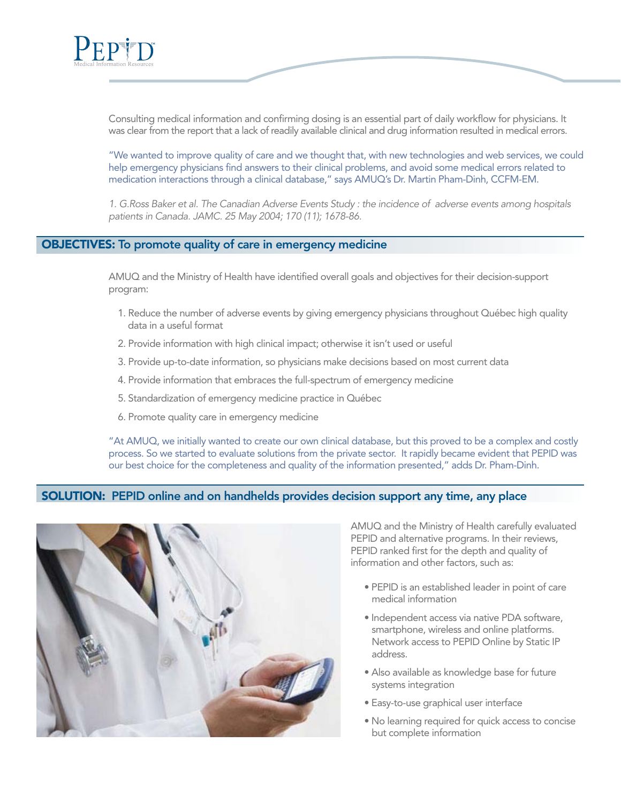

Consulting medical information and confirming dosing is an essential part of daily workflow for physicians. It was clear from the report that a lack of readily available clinical and drug information resulted in medical errors.

"We wanted to improve quality of care and we thought that, with new technologies and web services, we could help emergency physicians find answers to their clinical problems, and avoid some medical errors related to medication interactions through a clinical database," says AMUQ's Dr. Martin Pham-Dinh, CCFM-EM.

1. G.Ross Baker et al. The Canadian Adverse Events Study : the incidence of adverse events among hospitals patients in Canada. JAMC. 25 May 2004; 170 (11); 1678-86.

### OBJECTIVES: To promote quality of care in emergency medicine

AMUQ and the Ministry of Health have identified overall goals and objectives for their decision-support program:

- 1. Reduce the number of adverse events by giving emergency physicians throughout Québec high quality data in a useful format
- 2. Provide information with high clinical impact; otherwise it isn't used or useful
- 3. Provide up-to-date information, so physicians make decisions based on most current data
- 4. Provide information that embraces the full-spectrum of emergency medicine
- 5. Standardization of emergency medicine practice in Québec
- 6. Promote quality care in emergency medicine

"At AMUQ, we initially wanted to create our own clinical database, but this proved to be a complex and costly process. So we started to evaluate solutions from the private sector. It rapidly became evident that PEPID was our best choice for the completeness and quality of the information presented," adds Dr. Pham-Dinh.

## SOLUTION: PEPID online and on handhelds provides decision support any time, any place



AMUQ and the Ministry of Health carefully evaluated PEPID and alternative programs. In their reviews, PEPID ranked first for the depth and quality of information and other factors, such as:

- · PEPID is an established leader in point of care medical information
- · Independent access via native PDA software, smartphone, wireless and online platforms. Network access to PEPID Online by Static IP address.
- Also available as knowledge base for future systems integration
- Easy-to-use graphical user interface
- . No learning required for quick access to concise but complete information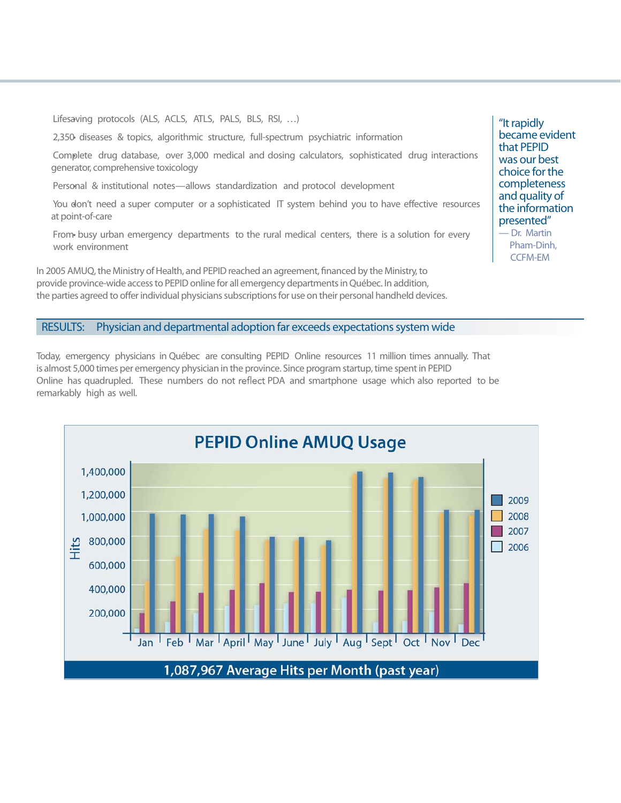Lifesaving protocols (ALS, ACLS, ATLS, PALS, BLS, RSI, ...)

2,350 diseases & topics, algorithmic structure, full-spectrum psychiatric information t

 Complete drug database, over 3,000 medical and dosing calculators, sophisticated drug interactions t generator, comprehensive toxicology

Personal & institutional notes—allows standardization and protocol development

You don't need a super computer or a sophisticated IT system behind you to have effective resources at point-of-care

From busy urban emergency departments to the rural medical centers, there is a solution for every work environment

In 2005 AMUQ, the Ministry of Health, and PEPID reached an agreement, financed by the Ministry, to provide province-wide access to PEPID online for all emergency departments in Québec. In addition, the parties agreed to offer individual physicians subscriptions for use on their personal handheld devices. "It rapidly became evident that PEPID was our best choice for the completeness and quality of the information presented"

— Dr. Martin Pham-Dinh, CCFM-EM

#### RESULTS: Physician and departmental adoption far exceeds expectations system wide

Today, emergency physicians in Québec are consulting PEPID Online resources 11 million times annually. That is almost 5,000 times per emergency physician in the province. Since program startup, time spent in PEPID Online has quadrupled. These numbers do not reflect PDA and smartphone usage which also reported to be remarkably high as well.